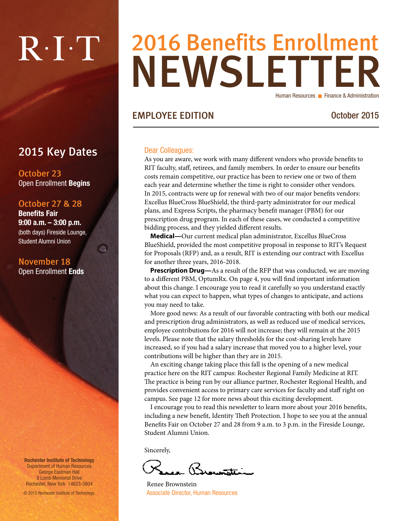# $R \cdot I \cdot T$

### NEWSLETTER 2016 Benefits Enrollment Human Resources **Finance & Administration**

#### EMPLOYEE EDITION October 2015

#### Dear Colleagues:

As you are aware, we work with many different vendors who provide benefits to RIT faculty, staff, retirees, and family members. In order to ensure our benefits costs remain competitive, our practice has been to review one or two of them each year and determine whether the time is right to consider other vendors. In 2015, contracts were up for renewal with two of our major benefits vendors: Excellus BlueCross BlueShield, the third-party administrator for our medical plans, and Express Scripts, the pharmacy benefit manager (PBM) for our prescription drug program. In each of these cases, we conducted a competitive bidding process, and they yielded different results.

**Medical—**Our current medical plan administrator, Excellus BlueCross BlueShield, provided the most competitive proposal in response to RIT's Request for Proposals (RFP) and, as a result, RIT is extending our contract with Excellus for another three years, 2016-2018.

**Prescription Drug—**As a result of the RFP that was conducted, we are moving to a different PBM, OptumRx. On page 4, you will find important information about this change. I encourage you to read it carefully so you understand exactly what you can expect to happen, what types of changes to anticipate, and actions you may need to take.

More good news: As a result of our favorable contracting with both our medical and prescription drug administrators, as well as reduced use of medical services, employee contributions for 2016 will not increase; they will remain at the 2015 levels. Please note that the salary thresholds for the cost-sharing levels have increased, so if you had a salary increase that moved you to a higher level, your contributions will be higher than they are in 2015.

An exciting change taking place this fall is the opening of a new medical practice here on the RIT campus: Rochester Regional Family Medicine at RIT. The practice is being run by our alliance partner, Rochester Regional Health, and provides convenient access to primary care services for faculty and staff right on campus. See page 12 for more news about this exciting development.

I encourage you to read this newsletter to learn more about your 2016 benefits, including a new benefit, Identity Theft Protection. I hope to see you at the annual Benefits Fair on October 27 and 28 from 9 a.m. to 3 p.m. in the Fireside Lounge, Student Alumni Union.

Sincerely,

- Branatti

Renee Brownstein Associate Director, Human Resources

2015 Key Dates

October 23 Open Enrollment Begins

#### October 27 & 28

Benefits Fair 9:00 a.m. – 3:00 p.m. (both days) Fireside Lounge, Student Alumni Union

a

#### November 18 Open Enrollment Ends

Rochester Institute of Technology Department of Human Resources George Eastman Hall 8 Lomb Memorial Drive Rochester, New York 14623-5604

© 2015 Rochester Institute of Technology.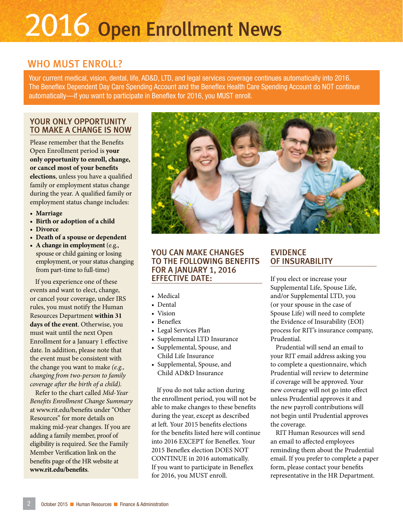## 2016 Open Enrollment News

#### WHO MUST ENROLL?

Your current medical, vision, dental, life, AD&D, LTD, and legal services coverage continues automatically into 2016. The Beneflex Dependent Day Care Spending Account and the Beneflex Health Care Spending Account do NOT continue automatically—if you want to participate in Beneflex for 2016, you MUST enroll.

#### YOUR ONLY OPPORTUNITY TO MAKE A CHANGE IS NOW

Please remember that the Benefits Open Enrollment period is **your only opportunity to enroll, change, or cancel most of your benefits elections**, unless you have a qualified family or employment status change during the year. A qualified family or employment status change includes:

- **• Marriage**
- **• Birth or adoption of a child**
- **• Divorce**
- **• Death of a spouse or dependent**
- **• A change in employment** (e.g., spouse or child gaining or losing employment, or your status changing from part-time to full-time)

If you experience one of these events and want to elect, change, or cancel your coverage, under IRS rules, you must notify the Human Resources Department **within 31 days of the event**. Otherwise, you must wait until the next Open Enrollment for a January 1 effective date. In addition, please note that the event must be consistent with the change you want to make *(e.g., changing from two-person to family coverage after the birth of a child).* 

Refer to the chart called *Mid-Year Benefits Enrollment Change Summary* at www.rit.edu/benefits under "Other Resources" for more details on making mid-year changes. If you are adding a family member, proof of eligibility is required. See the Family Member Verification link on the benefits page of the HR website at **www.rit.edu/benefits**.



#### YOU CAN MAKE CHANGES TO THE FOLLOWING BENEFITS FOR A JANUARY 1, 2016 EFFECTIVE DATE:

- Medical
- Dental
- Vision
- Beneflex
- Legal Services Plan
- Supplemental LTD Insurance
- Supplemental, Spouse, and Child Life Insurance
- Supplemental, Spouse, and Child AD&D Insurance

If you do not take action during the enrollment period, you will not be able to make changes to these benefits during the year, except as described at left. Your 2015 benefits elections for the benefits listed here will continue into 2016 EXCEPT for Beneflex. Your 2015 Beneflex election DOES NOT CONTINUE in 2016 automatically. If you want to participate in Beneflex for 2016, you MUST enroll.

#### EVIDENCE OF INSURABILITY

If you elect or increase your Supplemental Life, Spouse Life, and/or Supplemental LTD, you (or your spouse in the case of Spouse Life) will need to complete the Evidence of Insurability (EOI) process for RIT's insurance company, Prudential.

Prudential will send an email to your RIT email address asking you to complete a questionnaire, which Prudential will review to determine if coverage will be approved. Your new coverage will not go into effect unless Prudential approves it and the new payroll contributions will not begin until Prudential approves the coverage.

RIT Human Resources will send an email to affected employees reminding them about the Prudential email. If you prefer to complete a paper form, please contact your benefits representative in the HR Department.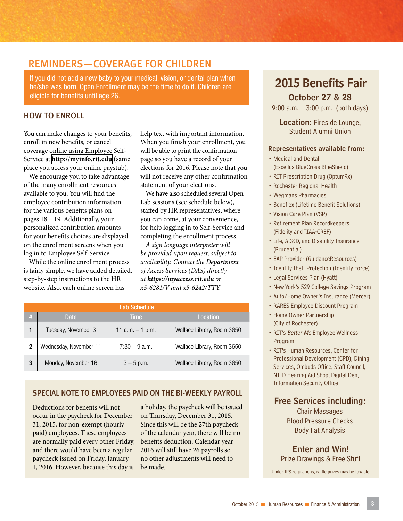#### REMINDERS—COVERAGE FOR CHILDREN

If you did not add a new baby to your medical, vision, or dental plan when he/she was born, Open Enrollment may be the time to do it. Children are eligible for benefits until age 26.

#### HOW TO ENROLL

You can make changes to your benefits, enroll in new benefits, or cancel coverage online using Employee Self-Service at **<http://myinfo.rit.edu>** (same place you access your online paystub).

We encourage you to take advantage of the many enrollment resources available to you. You will find the employee contribution information for the various benefits plans on pages 18 – 19. Additionally, your personalized contribution amounts for your benefits choices are displayed on the enrollment screens when you log in to Employee Self-Service.

While the online enrollment process is fairly simple, we have added detailed, step-by-step instructions to the HR website. Also, each online screen has

help text with important information. When you finish your enrollment, you will be able to print the confirmation page so you have a record of your elections for 2016. Please note that you will not receive any other confirmation statement of your elections.

We have also scheduled several Open Lab sessions (see schedule below), staffed by HR representatives, where you can come, at your convenience, for help logging in to Self-Service and completing the enrollment process.

*A sign language interpreter will be provided upon request, subject to availability. Contact the Department of Access Services (DAS) directly at https://myaccess.rit.edu or x5-6281/V and x5-6242/TTY.*

|    | Lab Schedule           |                    |                            |  |  |  |  |  |
|----|------------------------|--------------------|----------------------------|--|--|--|--|--|
| W. | Date:                  | <b>Time</b>        | Location                   |  |  |  |  |  |
|    | Tuesday, November 3    | 11 $a.m. - 1 p.m.$ | Wallace Library, Room 3650 |  |  |  |  |  |
| 2  | Wednesday, November 11 | $7:30 - 9$ a.m.    | Wallace Library, Room 3650 |  |  |  |  |  |
| 3  | Monday, November 16    | $3 - 5$ p.m.       | Wallace Library, Room 3650 |  |  |  |  |  |

#### SPECIAL NOTE TO EMPLOYEES PAID ON THE BI-WEEKLY PAYROLL

Deductions for benefits will not occur in the paycheck for December 31, 2015, for non-exempt (hourly paid) employees. These employees are normally paid every other Friday, and there would have been a regular paycheck issued on Friday, January 1, 2016. However, because this day is

a holiday, the paycheck will be issued on Thursday, December 31, 2015. Since this will be the 27th paycheck of the calendar year, there will be no benefits deduction. Calendar year 2016 will still have 26 payrolls so no other adjustments will need to be made.

#### 2015 Benefits Fair

October 27 & 28

9:00 a.m. – 3:00 p.m. (both days)

Location: Fireside Lounge, Student Alumni Union

#### Representatives available from:

- Medical and Dental (Excellus BlueCross BlueShield)
- RIT Prescription Drug (OptumRx)
- Rochester Regional Health
- Wegmans Pharmacies
- Beneflex (Lifetime Benefit Solutions)
- Vision Care Plan (VSP)
- Retirement Plan Recordkeepers (Fidelity and TIAA-CREF)
- Life, AD&D, and Disability Insurance (Prudential)
- EAP Provider (GuidanceResources)
- Identity Theft Protection (Identity Force)
- Legal Services Plan (Hyatt)
- New York's 529 College Savings Program
- Auto/Home Owner's Insurance (Mercer)
- RARES Employee Discount Program
- Home Owner Partnership (City of Rochester)
- RIT's Better Me Employee Wellness Program
- RIT's Human Resources, Center for Professional Development (CPD), Dining Services, Ombuds Office, Staff Council, NTID Hearing Aid Shop, Digital Den, Information Security Office

Free Services including:

Chair Massages Blood Pressure Checks Body Fat Analysis

Enter and Win! Prize Drawings & Free Stuff

Under IRS regulations, raffle prizes may be taxable.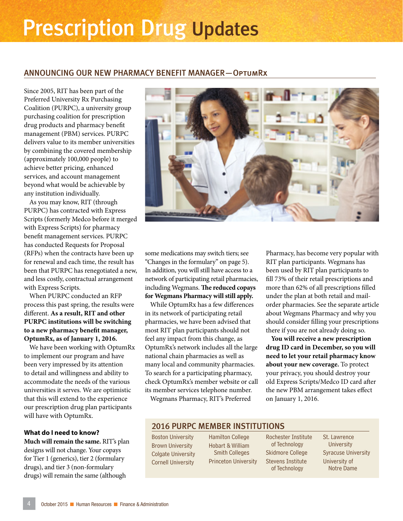### Prescription Drug Updates

#### ANNOUNCING OUR NEW PHARMACY BENEFIT MANAGER—OptumRx

Since 2005, RIT has been part of the Preferred University Rx Purchasing Coalition (PURPC), a university group purchasing coalition for prescription drug products and pharmacy benefit management (PBM) services. PURPC delivers value to its member universities by combining the covered membership (approximately 100,000 people) to achieve better pricing, enhanced services, and account management beyond what would be achievable by any institution individually.

As you may know, RIT (through PURPC) has contracted with Express Scripts (formerly Medco before it merged with Express Scripts) for pharmacy benefit management services. PURPC has conducted Requests for Proposal (RFPs) when the contracts have been up for renewal and each time, the result has been that PURPC has renegotiated a new, and less costly, contractual arrangement with Express Scripts.

When PURPC conducted an RFP process this past spring, the results were different. **As a result, RIT and other PURPC institutions will be switching to a new pharmacy benefit manager, OptumRx, as of January 1, 2016.**

We have been working with OptumRx to implement our program and have been very impressed by its attention to detail and willingness and ability to accommodate the needs of the various universities it serves. We are optimistic that this will extend to the experience our prescription drug plan participants will have with OptumRx.

#### **What do I need to know?**

**Much will remain the same.** RIT's plan designs will not change. Your copays for Tier 1 (generics), tier 2 (formulary drugs), and tier 3 (non-formulary drugs) will remain the same (although



some medications may switch tiers; see "Changes in the formulary" on page 5). In addition, you will still have access to a network of participating retail pharmacies, including Wegmans. **The reduced copays for Wegmans Pharmacy will still apply.**

While OptumRx has a few differences in its network of participating retail pharmacies, we have been advised that most RIT plan participants should not feel any impact from this change, as OptumRx's network includes all the large national chain pharmacies as well as many local and community pharmacies. To search for a participating pharmacy, check OptumRx's member website or call its member services telephone number. Wegmans Pharmacy, RIT's Preferred

Pharmacy, has become very popular with RIT plan participants. Wegmans has been used by RIT plan participants to fill 73% of their retail prescriptions and more than 62% of all prescriptions filled under the plan at both retail and mailorder pharmacies. See the separate article about Wegmans Pharmacy and why you should consider filling your prescriptions there if you are not already doing so.

**You will receive a new prescription drug ID card in December, so you will need to let your retail pharmacy know about your new coverage.** To protect your privacy, you should destroy your old Express Scripts/Medco ID card after the new PBM arrangement takes effect on January 1, 2016.

#### 2016 PURPC MEMBER INSTITUTIONS

Boston University Brown University Colgate University Cornell University

Hamilton College Hobart & William Smith Colleges Princeton University

Rochester Institute of Technology Skidmore College Stevens Institute of Technology

St. Lawrence **University** Syracuse University University of Notre Dame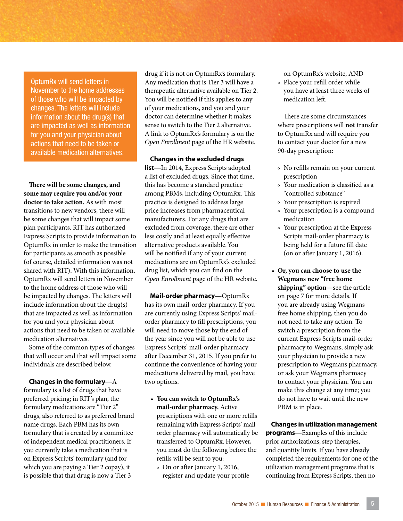OptumRx will send letters in November to the home addresses of those who will be impacted by changes. The letters will include information about the drug(s) that are impacted as well as information for you and your physician about actions that need to be taken or available medication alternatives.

**There will be some changes, and some may require you and/or your doctor to take action.** As with most transitions to new vendors, there will be some changes that will impact some plan participants. RIT has authorized Express Scripts to provide information to OptumRx in order to make the transition for participants as smooth as possible (of course, detailed information was not shared with RIT). With this information, OptumRx will send letters in November to the home address of those who will be impacted by changes. The letters will include information about the drug(s) that are impacted as well as information for you and your physician about actions that need to be taken or available medication alternatives.

Some of the common types of changes that will occur and that will impact some individuals are described below.

#### **Changes in the formulary—**A

formulary is a list of drugs that have preferred pricing; in RIT's plan, the formulary medications are "Tier 2" drugs, also referred to as preferred brand name drugs. Each PBM has its own formulary that is created by a committee of independent medical practitioners. If you currently take a medication that is on Express Scripts' formulary (and for which you are paying a Tier 2 copay), it is possible that that drug is now a Tier 3

drug if it is not on OptumRx's formulary. Any medication that is Tier 3 will have a therapeutic alternative available on Tier 2. You will be notified if this applies to any of your medications, and you and your doctor can determine whether it makes sense to switch to the Tier 2 alternative. A link to OptumRx's formulary is on the *Open Enrollment* page of the HR website.

**Changes in the excluded drugs list—**In 2014, Express Scripts adopted a list of excluded drugs. Since that time, this has become a standard practice among PBMs, including OptumRx. This practice is designed to address large price increases from pharmaceutical manufacturers. For any drugs that are excluded from coverage, there are other less costly and at least equally effective alternative products available. You will be notified if any of your current medications are on OptumRx's excluded drug list, which you can find on the *Open Enrollment* page of the HR website.

**Mail-order pharmacy—**OptumRx has its own mail-order pharmacy. If you are currently using Express Scripts' mailorder pharmacy to fill prescriptions, you will need to move those by the end of the year since you will not be able to use Express Scripts' mail-order pharmacy after December 31, 2015. If you prefer to continue the convenience of having your medications delivered by mail, you have two options.

- **You can switch to OptumRx's mail-order pharmacy.** Active prescriptions with one or more refills remaining with Express Scripts' mailorder pharmacy will automatically be transferred to OptumRx. However, you must do the following before the refills will be sent to you:
	- º On or after January 1, 2016, register and update your profile

on OptumRx's website, AND º Place your refill order while you have at least three weeks of medication left.

There are some circumstances where prescriptions will **not** transfer to OptumRx and will require you to contact your doctor for a new 90-day prescription:

- º No refills remain on your current prescription
- º Your medication is classified as a "controlled substance"
- º Your prescription is expired
- º Your prescription is a compound medication
- º Your prescription at the Express Scripts mail-order pharmacy is being held for a future fill date (on or after January 1, 2016).
- **Or, you can choose to use the Wegmans new "free home shipping" option—**see the article on page 7 for more details. If you are already using Wegmans free home shipping, then you do not need to take any action. To switch a prescription from the current Express Scripts mail-order pharmacy to Wegmans, simply ask your physician to provide a new prescription to Wegmans pharmacy, or ask your Wegmans pharmacy to contact your physician. You can make this change at any time; you do not have to wait until the new PBM is in place.

**Changes in utilization management programs—**Examples of this include prior authorizations, step therapies, and quantity limits. If you have already completed the requirements for one of the utilization management programs that is continuing from Express Scripts, then no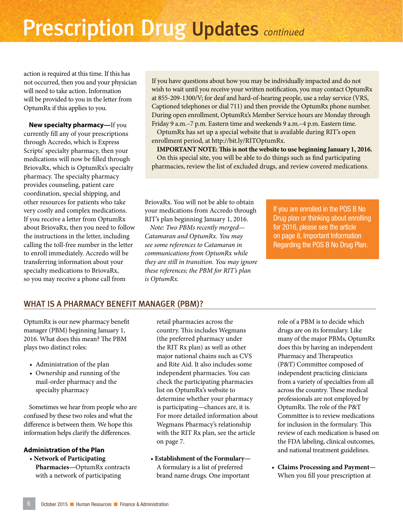### Prescription Drug Updates *continued*

action is required at this time. If this has not occurred, then you and your physician will need to take action. Information will be provided to you in the letter from OptumRx if this applies to you.

**New specialty pharmacy—**If you currently fill any of your prescriptions through Accredo, which is Express Scripts' specialty pharmacy, then your medications will now be filled through BriovaRx, which is OptumRx's specialty pharmacy. The specialty pharmacy provides counseling, patient care coordination, special shipping, and other resources for patients who take very costly and complex medications. If you receive a letter from OptumRx about BriovaRx, then you need to follow the instructions in the letter, including calling the toll-free number in the letter to enroll immediately. Accredo will be transferring information about your specialty medications to BriovaRx, so you may receive a phone call from

If you have questions about how you may be individually impacted and do not wish to wait until you receive your written notification, you may contact OptumRx at 855-209-1300/V; for deaf and hard-of-hearing people, use a relay service (VRS, Captioned telephones or dial 711) and then provide the OptumRx phone number. During open enrollment, OptumRx's Member Service hours are Monday through Friday 9 a.m.–7 p.m. Eastern time and weekends 9 a.m.–4 p.m. Eastern time. OptumRx has set up a special website that is available during RIT's open

enrollment period, at http://bit.ly/RITOptumRx.

**IMPORTANT NOTE: This is not the website to use beginning January 1, 2016.** On this special site, you will be able to do things such as find participating pharmacies, review the list of excluded drugs, and review covered medications.

BriovaRx. You will not be able to obtain your medications from Accredo through RIT's plan beginning January 1, 2016.

*Note: Two PBMs recently merged— Catamaran and OptumRx. You may see some references to Catamaran in communications from OptumRx while they are still in transition. You may ignore these references; the PBM for RIT's plan is OptumRx.*

If you are enrolled in the POS B No Drug plan or thinking about enrolling for 2016, please see the article on page 8, Important Information Regarding the POS B No Drug Plan.

#### WHAT IS A PHARMACY BENEFIT MANAGER (PBM)?

OptumRx is our new pharmacy benefit manager (PBM) beginning January 1, 2016. What does this mean? The PBM plays two distinct roles:

- Administration of the plan
- Ownership and running of the mail-order pharmacy and the specialty pharmacy

Sometimes we hear from people who are confused by these two roles and what the difference is between them. We hope this information helps clarify the differences.

#### **Administration of the Plan**

• **Network of Participating Pharmacies—**OptumRx contracts with a network of participating

retail pharmacies across the country. This includes Wegmans (the preferred pharmacy under the RIT Rx plan) as well as other major national chains such as CVS and Rite Aid. It also includes some independent pharmacies. You can check the participating pharmacies list on OptumRx's website to determine whether your pharmacy is participating—chances are, it is. For more detailed information about Wegmans Pharmacy's relationship with the RIT Rx plan, see the article on page 7.

• **Establishment of the Formulary—** A formulary is a list of preferred brand name drugs. One important

role of a PBM is to decide which drugs are on its formulary. Like many of the major PBMs, OptumRx does this by having an independent Pharmacy and Therapeutics (P&T) Committee composed of independent practicing clinicians from a variety of specialties from all across the country. These medical professionals are not employed by OptumRx. The role of the P&T Committee is to review medications for inclusion in the formulary. This review of each medication is based on the FDA labeling, clinical outcomes, and national treatment guidelines.

• **Claims Processing and Payment—** When you fill your prescription at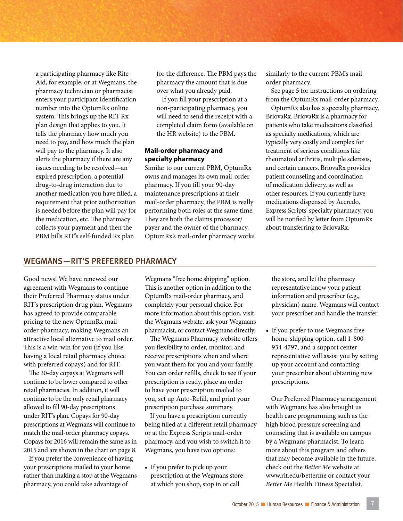a participating pharmacy like Rite Aid, for example, or at Wegmans, the pharmacy technician or pharmacist enters your participant identification number into the OptumRx online system. This brings up the RIT Rx plan design that applies to you. It tells the pharmacy how much you need to pay, and how much the plan will pay to the pharmacy. It also alerts the pharmacy if there are any issues needing to be resolved—an expired prescription, a potential drug-to-drug interaction due to another medication you have filled, a requirement that prior authorization is needed before the plan will pay for the medication, etc. The pharmacy collects your payment and then the PBM bills RIT's self-funded Rx plan

for the difference. The PBM pays the pharmacy the amount that is due over what you already paid.

If you fill your prescription at a non-participating pharmacy, you will need to send the receipt with a completed claim form (available on the HR website) to the PBM.

#### **Mail-order pharmacy and specialty pharmacy**

Similar to our current PBM, OptumRx owns and manages its own mail-order pharmacy. If you fill your 90-day maintenance prescriptions at their mail-order pharmacy, the PBM is really performing both roles at the same time. They are both the claims processor/ payer and the owner of the pharmacy. OptumRx's mail-order pharmacy works similarly to the current PBM's mailorder pharmacy.

See page 5 for instructions on ordering from the OptumRx mail-order pharmacy.

OptumRx also has a specialty pharmacy, BriovaRx. BriovaRx is a pharmacy for patients who take medications classified as specialty medications, which are typically very costly and complex for treatment of serious conditions like rheumatoid arthritis, multiple sclerosis, and certain cancers. BriovaRx provides patient counseling and coordination of medication delivery, as well as other resources. If you currently have medications dispensed by Accredo, Express Scripts' specialty pharmacy, you will be notified by letter from OptumRx about transferring to BriovaRx.

#### WEGMANS—RIT'S PREFERRED PHARMACY

Good news! We have renewed our agreement with Wegmans to continue their Preferred Pharmacy status under RIT's prescription drug plan. Wegmans has agreed to provide comparable pricing to the new OptumRx mailorder pharmacy, making Wegmans an attractive local alternative to mail order. This is a win-win for you (if you like having a local retail pharmacy choice with preferred copays) and for RIT.

The 30-day copays at Wegmans will continue to be lower compared to other retail pharmacies. In addition, it will continue to be the only retail pharmacy allowed to fill 90-day prescriptions under RIT's plan. Copays for 90-day prescriptions at Wegmans will continue to match the mail-order pharmacy copays. Copays for 2016 will remain the same as in 2015 and are shown in the chart on page 8.

If you prefer the convenience of having your prescriptions mailed to your home rather than making a stop at the Wegmans pharmacy, you could take advantage of

Wegmans "free home shipping" option. This is another option in addition to the OptumRx mail-order pharmacy, and completely your personal choice. For more information about this option, visit the Wegmans website, ask your Wegmans pharmacist, or contact Wegmans directly.

The Wegmans Pharmacy website offers you flexibility to order, monitor, and receive prescriptions when and where you want them for you and your family. You can order refills, check to see if your prescription is ready, place an order to have your prescription mailed to you, set up Auto-Refill, and print your prescription purchase summary.

If you have a prescription currently being filled at a different retail pharmacy or at the Express Scripts mail-order pharmacy, and you wish to switch it to Wegmans, you have two options:

• If you prefer to pick up your prescription at the Wegmans store at which you shop, stop in or call

the store, and let the pharmacy representative know your patient information and prescriber (e.g., physician) name. Wegmans will contact your prescriber and handle the transfer.

• If you prefer to use Wegmans free home-shipping option, call 1-800- 934-4797, and a support center representative will assist you by setting up your account and contacting your prescriber about obtaining new prescriptions.

Our Preferred Pharmacy arrangement with Wegmans has also brought us health care programming such as the high blood pressure screening and counseling that is available on campus by a Wegmans pharmacist. To learn more about this program and others that may become available in the future, check out the *Better Me* website at www.rit.edu/betterme or contact your *Better Me* Health Fitness Specialist.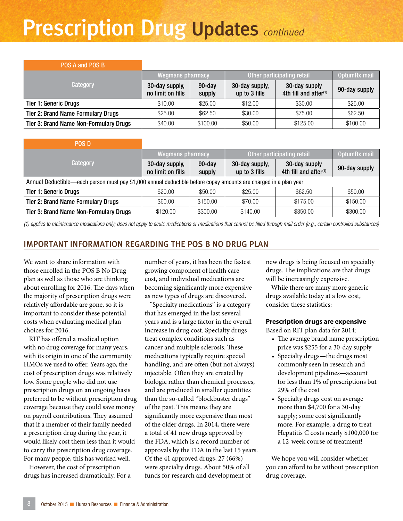### Prescription Drug Updates *continued*

| POS A and POS B                               |                                     |                     |                                 |                                                    |               |
|-----------------------------------------------|-------------------------------------|---------------------|---------------------------------|----------------------------------------------------|---------------|
|                                               | <b>Wegmans pharmacy</b>             |                     | Other participating retail      |                                                    | OptumRx mail  |
| Category                                      | 30-day supply,<br>no limit on fills | $90$ -day<br>supply | 30-day supply,<br>up to 3 fills | 30-day supply<br>4th fill and after <sup>(1)</sup> | 90-day supply |
| <b>Tier 1: Generic Drugs</b>                  | \$10.00                             | \$25.00             | \$12.00                         | \$30.00                                            | \$25.00       |
| <b>Tier 2: Brand Name Formulary Drugs</b>     | \$25.00                             | \$62.50             | \$30.00                         | \$75.00                                            | \$62.50       |
| <b>Tier 3: Brand Name Non-Formulary Drugs</b> | \$40.00                             | \$100.00            | \$50.00                         | \$125.00                                           | \$100.00      |

| <b>POS D</b>                                                                                                     |                                     |                     |                                 |                                                    |               |
|------------------------------------------------------------------------------------------------------------------|-------------------------------------|---------------------|---------------------------------|----------------------------------------------------|---------------|
|                                                                                                                  | <b>Wegmans pharmacy</b>             |                     | Other participating retail      |                                                    | OptumRx mail  |
| Category                                                                                                         | 30-day supply,<br>no limit on fills | $90$ -day<br>supply | 30-day supply,<br>up to 3 fills | 30-day supply<br>4th fill and after <sup>(1)</sup> | 90-day supply |
| Annual Deductible—each person must pay \$1,000 annual deductible before copay amounts are charged in a plan year |                                     |                     |                                 |                                                    |               |
| <b>Tier 1: Generic Drugs</b>                                                                                     | \$20.00                             | \$50.00             | \$25.00                         | \$62.50                                            | \$50.00       |
| <b>Tier 2: Brand Name Formulary Drugs</b>                                                                        | \$60.00                             | \$150.00            | \$70.00                         | \$175.00                                           | \$150.00      |
| <b>Tier 3: Brand Name Non-Formulary Drugs</b>                                                                    | \$120.00                            | \$300.00            | \$140.00                        | \$350.00                                           | \$300.00      |

*(1) applies to maintenance medications only; does not apply to acute medications or medications that cannot be filled through mail order (e.g., certain controlled substances)*

#### IMPORTANT INFORMATION REGARDING THE POS B NO DRUG PLAN

We want to share information with those enrolled in the POS B No Drug plan as well as those who are thinking about enrolling for 2016. The days when the majority of prescription drugs were relatively affordable are gone, so it is important to consider these potential costs when evaluating medical plan choices for 2016.

RIT has offered a medical option with no drug coverage for many years, with its origin in one of the community HMOs we used to offer. Years ago, the cost of prescription drugs was relatively low. Some people who did not use prescription drugs on an ongoing basis preferred to be without prescription drug coverage because they could save money on payroll contributions. They assumed that if a member of their family needed a prescription drug during the year, it would likely cost them less than it would to carry the prescription drug coverage. For many people, this has worked well.

However, the cost of prescription drugs has increased dramatically. For a number of years, it has been the fastest growing component of health care cost, and individual medications are becoming significantly more expensive as new types of drugs are discovered.

"Specialty medications" is a category that has emerged in the last several years and is a large factor in the overall increase in drug cost. Specialty drugs treat complex conditions such as cancer and multiple sclerosis. These medications typically require special handling, and are often (but not always) injectable. Often they are created by biologic rather than chemical processes, and are produced in smaller quantities than the so-called "blockbuster drugs" of the past. This means they are significantly more expensive than most of the older drugs. In 2014, there were a total of 41 new drugs approved by the FDA, which is a record number of approvals by the FDA in the last 15 years. Of the 41 approved drugs, 27 (66%) were specialty drugs. About 50% of all funds for research and development of

new drugs is being focused on specialty drugs. The implications are that drugs will be increasingly expensive.

While there are many more generic drugs available today at a low cost, consider these statistics:

#### **Prescription drugs are expensive**

Based on RIT plan data for 2014:

- The average brand name prescription price was \$255 for a 30-day supply
- Specialty drugs—the drugs most commonly seen in research and development pipelines—account for less than 1% of prescriptions but 29% of the cost
- Specialty drugs cost on average more than \$4,700 for a 30-day supply; some cost significantly more. For example, a drug to treat Hepatitis C costs nearly \$100,000 for a 12-week course of treatment!

We hope you will consider whether you can afford to be without prescription drug coverage.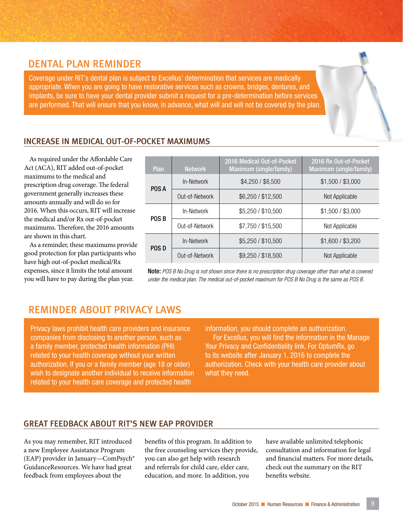#### DENTAL PLAN REMINDER

Coverage under RIT's dental plan is subject to Excellus' determination that services are medically appropriate. When you are going to have restorative services such as crowns, bridges, dentures, and implants, be sure to have your dental provider submit a request for a pre-determination before services are performed. That will ensure that you know, in advance, what will and will not be covered by the plan.

#### INCREASE IN MEDICAL OUT-OF-POCKET MAXIMUMS

As required under the Affordable Care Act (ACA), RIT added out-of-pocket maximums to the medical and prescription drug coverage. The federal government generally increases these amounts annually and will do so for 2016. When this occurs, RIT will increase the medical and/or Rx out-of-pocket maximums. Therefore, the 2016 amounts are shown in this chart.

As a reminder, these maximums provide good protection for plan participants who have high out-of-pocket medical/Rx expenses, since it limits the total amount you will have to pay during the plan year.

| Plan         | <b>Network</b> | 2016 Medical Out-of-Pocket<br>Maximum (single/family) | 2016 Rx Out-of-Pocket<br>Maximum (single/family) |
|--------------|----------------|-------------------------------------------------------|--------------------------------------------------|
| POS A        | In-Network     | \$4,250 / \$8,500                                     | \$1,500 / \$3,000                                |
|              | Out-of-Network | \$6,250 / \$12,500                                    | Not Applicable                                   |
| <b>POS B</b> | In-Network     | \$5,250 / \$10,500                                    | \$1,500 / \$3,000                                |
|              | Out-of-Network | \$7,750 / \$15,500                                    | Not Applicable                                   |
| <b>POSD</b>  | In-Network     | \$5,250 / \$10,500                                    | \$1,600 / \$3,200                                |
|              | Out-of-Network | \$9,250 / \$18,500                                    | Not Applicable                                   |

Note: *POS B No Drug is not shown since there is no prescription drug coverage other than what is covered under the medical plan. The medical out-of-pocket maximum for POS B No Drug is the same as POS B.*

#### REMINDER ABOUT PRIVACY LAWS

Privacy laws prohibit health care providers and insurance companies from disclosing to another person, such as a family member, protected health information (PHI) related to your health coverage without your written authorization. If you or a family member (age 18 or older) wish to designate another individual to receive information related to your health care coverage and protected health

information, you should complete an authorization. For Excellus, you will find the information in the Manage Your Privacy and Confidentiality link. For OptumRx, go to its website after January 1, 2016 to complete the authorization. Check with your health care provider about what they need.

#### GREAT FEEDBACK ABOUT RIT'S NEW EAP PROVIDER

As you may remember, RIT introduced a new Employee Assistance Program (EAP) provider in January—ComPsych® GuidanceResources. We have had great feedback from employees about the

benefits of this program. In addition to the free counseling services they provide, you can also get help with research and referrals for child care, elder care, education, and more. In addition, you

have available unlimited telephonic consultation and information for legal and financial matters. For more details, check out the summary on the RIT benefits website.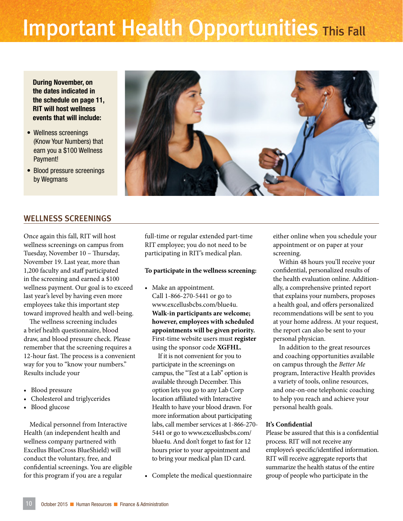### **Important Health Opportunities This Fall**

During November, on the dates indicated in the schedule on page 11, RIT will host wellness events that will include:

- Wellness screenings (Know Your Numbers) that earn you a \$100 Wellness Payment!
- Blood pressure screenings by Wegmans



#### WELLNESS SCREENINGS

Once again this fall, RIT will host wellness screenings on campus from Tuesday, November 10 – Thursday, November 19. Last year, more than 1,200 faculty and staff participated in the screening and earned a \$100 wellness payment. Our goal is to exceed last year's level by having even more employees take this important step toward improved health and well-being.

The wellness screening includes a brief health questionnaire, blood draw, and blood pressure check. Please remember that the screening requires a 12-hour fast. The process is a convenient way for you to "know your numbers." Results include your

- Blood pressure
- Cholesterol and triglycerides
- Blood glucose

Medical personnel from Interactive Health (an independent health and wellness company partnered with Excellus BlueCross BlueShield) will conduct the voluntary, free, and confidential screenings. You are eligible for this program if you are a regular

full-time or regular extended part-time RIT employee; you do not need to be participating in RIT's medical plan.

#### **To participate in the wellness screening:**

• Make an appointment. Call 1-866-270-5441 or go to www.excellusbcbs.com/blue4u. **Walk-in participants are welcome; however, employees with scheduled appointments will be given priority.** First-time website users must **register**  using the sponsor code **XGFHL.**

If it is not convenient for you to participate in the screenings on campus, the "Test at a Lab" option is available through December. This option lets you go to any Lab Corp location affiliated with Interactive Health to have your blood drawn. For more information about participating labs, call member services at 1-866-270- 5441 or go to www.excellusbcbs.com/ blue4u. And don't forget to fast for 12 hours prior to your appointment and to bring your medical plan ID card.

• Complete the medical questionnaire

either online when you schedule your appointment or on paper at your screening.

Within 48 hours you'll receive your confidential, personalized results of the health evaluation online. Additionally, a comprehensive printed report that explains your numbers, proposes a health goal, and offers personalized recommendations will be sent to you at your home address. At your request, the report can also be sent to your personal physician.

In addition to the great resources and coaching opportunities available on campus through the *Better Me*  program, Interactive Health provides a variety of tools, online resources, and one-on-one telephonic coaching to help you reach and achieve your personal health goals.

#### **It's Confidential**

Please be assured that this is a confidential process. RIT will not receive any employee's specific/identified information. RIT will receive aggregate reports that summarize the health status of the entire group of people who participate in the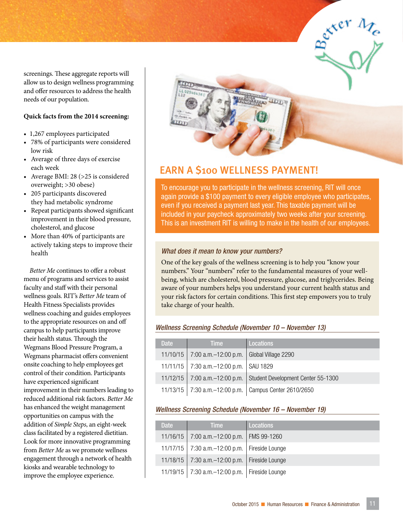screenings. These aggregate reports will allow us to design wellness programming and offer resources to address the health needs of our population.

#### **Quick facts from the 2014 screening:**

- 1,267 employees participated
- 78% of participants were considered low risk
- Average of three days of exercise each week
- Average BMI: 28 (>25 is considered overweight; >30 obese)
- 205 participants discovered they had metabolic syndrome
- Repeat participants showed significant improvement in their blood pressure, cholesterol, and glucose
- More than 40% of participants are actively taking steps to improve their health

*Better Me* continues to offer a robust menu of programs and services to assist faculty and staff with their personal wellness goals. RIT's *Better Me* team of Health Fitness Specialists provides wellness coaching and guides employees to the appropriate resources on and off campus to help participants improve their health status. Through the Wegmans Blood Pressure Program, a Wegmans pharmacist offers convenient onsite coaching to help employees get control of their condition. Participants have experienced significant improvement in their numbers leading to reduced additional risk factors. *Better Me*  has enhanced the weight management opportunities on campus with the addition of *Simple Steps*, an eight-week class facilitated by a registered dietitian. Look for more innovative programming from *Better Me* as we promote wellness engagement through a network of health kiosks and wearable technology to improve the employee experience.



 $\frac{e^{x}e^{x}}{2}$ 

#### EARN A \$100 WELLNESS PAYMENT!

To encourage you to participate in the wellness screening, RIT will once again provide a \$100 payment to every eligible employee who participates, even if you received a payment last year. This taxable payment will be included in your paycheck approximately two weeks after your screening. This is an investment RIT is willing to make in the health of our employees.

#### *What does it mean to know your numbers?*

One of the key goals of the wellness screening is to help you "know your numbers." Your "numbers" refer to the fundamental measures of your wellbeing, which are cholesterol, blood pressure, glucose, and triglycerides. Being aware of your numbers helps you understand your current health status and your risk factors for certain conditions. This first step empowers you to truly take charge of your health.

#### *Wellness Screening Schedule (November 10 – November 13)*

| <b>Date</b> | <b>Time</b>                                  | <b>Locations</b>                                            |
|-------------|----------------------------------------------|-------------------------------------------------------------|
|             | 11/10/15   7:00 a.m. $-12:00$ p.m.           | Global Village 2290                                         |
|             | 11/11/15   7:30 a.m. - 12:00 p.m.   SAU 1829 |                                                             |
|             | 11/12/15   7:00 a.m. $-12:00$ p.m.           | Student Development Center 55-1300                          |
|             |                                              | 11/13/15   7:30 a.m. - 12:00 p.m.   Campus Center 2610/2650 |

#### *Wellness Screening Schedule (November 16 – November 19)*

| <b>Date</b> | <b>Time</b>                                         | Locations <sup>1</sup> |
|-------------|-----------------------------------------------------|------------------------|
|             | 11/16/15   7:00 a.m. $-12:00$ p.m.                  | FMS 99-1260            |
|             | 11/17/15   7:30 a.m. $-12:00$ p.m.                  | Fireside Lounge        |
|             | 11/18/15   7:30 a.m. $-12:00$ p.m.                  | Fireside Lounge        |
|             | 11/19/15   7:30 a.m. - 12:00 p.m.   Fireside Lounge |                        |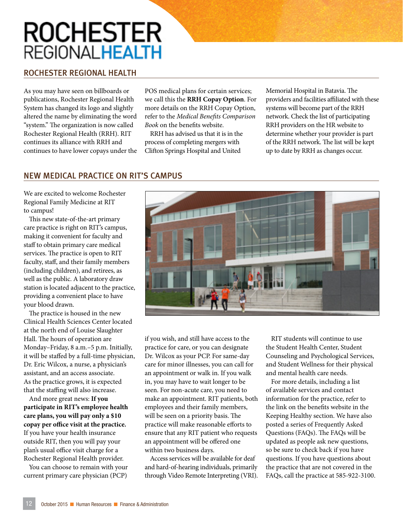### **ROCHESTER REGIONALHEALTH**

#### ROCHESTER REGIONAL HEALTH

As you may have seen on billboards or publications, Rochester Regional Health System has changed its logo and slightly altered the name by eliminating the word "system." The organization is now called Rochester Regional Health (RRH). RIT continues its alliance with RRH and continues to have lower copays under the

POS medical plans for certain services; we call this the **RRH Copay Option**. For more details on the RRH Copay Option, refer to the *Medical Benefits Comparison Book* on the benefits website.

RRH has advised us that it is in the process of completing mergers with Clifton Springs Hospital and United

Memorial Hospital in Batavia. The providers and facilities affiliated with these systems will become part of the RRH network. Check the list of participating RRH providers on the HR website to determine whether your provider is part of the RRH network. The list will be kept up to date by RRH as changes occur.

#### NEW MEDICAL PRACTICE ON RIT'S CAMPUS

We are excited to welcome Rochester Regional Family Medicine at RIT to campus!

This new state-of-the-art primary care practice is right on RIT's campus, making it convenient for faculty and staff to obtain primary care medical services. The practice is open to RIT faculty, staff, and their family members (including children), and retirees, as well as the public. A laboratory draw station is located adjacent to the practice, providing a convenient place to have your blood drawn.

The practice is housed in the new Clinical Health Sciences Center located at the north end of Louise Slaughter Hall. The hours of operation are Monday–Friday, 8 a.m.–5 p.m. Initially, it will be staffed by a full-time physician, Dr. Eric Wilcox, a nurse, a physician's assistant, and an access associate. As the practice grows, it is expected that the staffing will also increase.

And more great news: **If you participate in RIT's employee health care plans, you will pay only a \$10 copay per office visit at the practice.**  If you have your health insurance outside RIT, then you will pay your plan's usual office visit charge for a Rochester Regional Health provider.

You can choose to remain with your current primary care physician (PCP)



if you wish, and still have access to the practice for care, or you can designate Dr. Wilcox as your PCP. For same-day care for minor illnesses, you can call for an appointment or walk in. If you walk in, you may have to wait longer to be seen. For non-acute care, you need to make an appointment. RIT patients, both employees and their family members, will be seen on a priority basis. The practice will make reasonable efforts to ensure that any RIT patient who requests an appointment will be offered one within two business days.

Access services will be available for deaf and hard-of-hearing individuals, primarily through Video Remote Interpreting (VRI).

RIT students will continue to use the Student Health Center, Student Counseling and Psychological Services, and Student Wellness for their physical and mental health care needs.

For more details, including a list of available services and contact information for the practice, refer to the link on the benefits website in the Keeping Healthy section. We have also posted a series of Frequently Asked Questions (FAQs). The FAQs will be updated as people ask new questions, so be sure to check back if you have questions. If you have questions about the practice that are not covered in the FAQs, call the practice at 585-922-3100.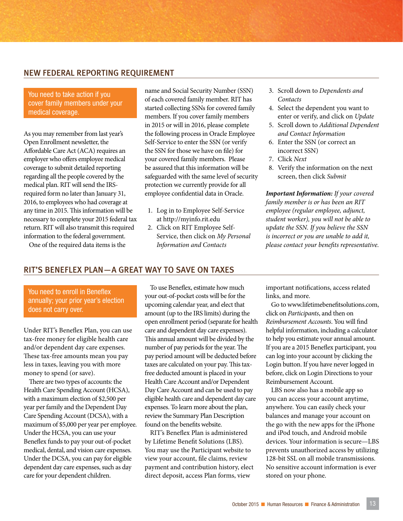#### NEW FEDERAL REPORTING REQUIREMENT

#### You need to take action if you cover family members under your medical coverage.

As you may remember from last year's Open Enrollment newsletter, the Affordable Care Act (ACA) requires an employer who offers employee medical coverage to submit detailed reporting regarding all the people covered by the medical plan. RIT will send the IRSrequired form no later than January 31, 2016, to employees who had coverage at any time in 2015. This information will be necessary to complete your 2015 federal tax return. RIT will also transmit this required information to the federal government.

name and Social Security Number (SSN) of each covered family member. RIT has started collecting SSNs for covered family members. If you cover family members in 2015 or will in 2016, please complete the following process in Oracle Employee Self-Service to enter the SSN (or verify the SSN for those we have on file) for your covered family members. Please be assured that this information will be safeguarded with the same level of security protection we currently provide for all employee confidential data in Oracle.

- 1. Log in to Employee Self-Service at http://myinfo.rit.edu
- 2. Click on RIT Employee Self-Service, then click on *My Personal Information and Contacts*
- 3. Scroll down to *Dependents and Contacts*
- 4. Select the dependent you want to enter or verify, and click on *Update*
- 5. Scroll down to *Additional Dependent and Contact Information*
- 6. Enter the SSN (or correct an incorrect SSN)
- 7. Click *Next*
- 8. Verify the information on the next screen, then click *Submit*

*Important Information: If your covered family member is or has been an RIT employee (regular employee, adjunct, student worker), you will not be able to update the SSN. If you believe the SSN is incorrect or you are unable to add it, please contact your benefits representative.*

#### RIT'S BENEFLEX PLAN—A GREAT WAY TO SAVE ON TAXES

You need to enroll in Beneflex annually; your prior year's election does not carry over.

One of the required data items is the

Under RIT's Beneflex Plan, you can use tax-free money for eligible health care and/or dependent day care expenses. These tax-free amounts mean you pay less in taxes, leaving you with more money to spend (or save).

There are two types of accounts: the Health Care Spending Account (HCSA), with a maximum election of \$2,500 per year per family and the Dependent Day Care Spending Account (DCSA), with a maximum of \$5,000 per year per employee. Under the HCSA, you can use your Beneflex funds to pay your out-of-pocket medical, dental, and vision care expenses. Under the DCSA, you can pay for eligible dependent day care expenses, such as day care for your dependent children.

To use Beneflex, estimate how much your out-of-pocket costs will be for the upcoming calendar year, and elect that amount (up to the IRS limits) during the open enrollment period (separate for health care and dependent day care expenses). This annual amount will be divided by the number of pay periods for the year. The pay period amount will be deducted before taxes are calculated on your pay. This taxfree deducted amount is placed in your Health Care Account and/or Dependent Day Care Account and can be used to pay eligible health care and dependent day care expenses. To learn more about the plan, review the Summary Plan Description found on the benefits website.

RIT's Beneflex Plan is administered by Lifetime Benefit Solutions (LBS). You may use the Participant website to view your account, file claims, review payment and contribution history, elect direct deposit, access Plan forms, view

important notifications, access related links, and more.

Go to www.lifetimebenefitsolutions.com, click on *Participants*, and then on *Reimbursement Accounts*. You will find helpful information, including a calculator to help you estimate your annual amount. If you are a 2015 Beneflex participant, you can log into your account by clicking the Login button. If you have never logged in before, click on Login Directions to your Reimbursement Account.

LBS now also has a mobile app so you can access your account anytime, anywhere. You can easily check your balances and manage your account on the go with the new apps for the iPhone and iPod touch, and Android mobile devices. Your information is secure—LBS prevents unauthorized access by utilizing 128-bit SSL on all mobile transmissions. No sensitive account information is ever stored on your phone.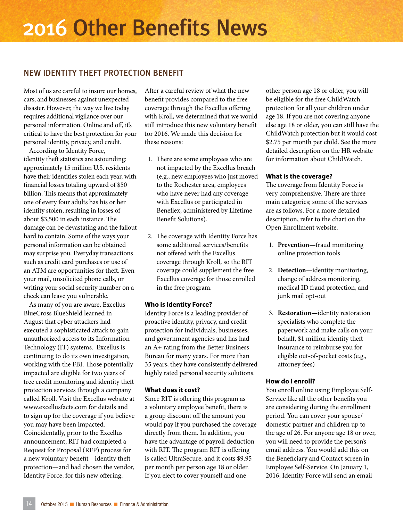### 2016 Other Benefits News

#### NEW IDENTITY THEFT PROTECTION BENEFIT

Most of us are careful to insure our homes, cars, and businesses against unexpected disaster. However, the way we live today requires additional vigilance over our personal information. Online and off, it's critical to have the best protection for your personal identity, privacy, and credit.

According to Identity Force, identity theft statistics are astounding: approximately 15 million U.S. residents have their identities stolen each year, with financial losses totaling upward of \$50 billion. This means that approximately one of every four adults has his or her identity stolen, resulting in losses of about \$3,500 in each instance. The damage can be devastating and the fallout hard to contain. Some of the ways your personal information can be obtained may surprise you. Everyday transactions such as credit card purchases or use of an ATM are opportunities for theft. Even your mail, unsolicited phone calls, or writing your social security number on a check can leave you vulnerable.

As many of you are aware, Excellus BlueCross BlueShield learned in August that cyber attackers had executed a sophisticated attack to gain unauthorized access to its Information Technology (IT) systems. Excellus is continuing to do its own investigation, working with the FBI. Those potentially impacted are eligible for two years of free credit monitoring and identity theft protection services through a company called Kroll. Visit the Excellus website at www.excellusfacts.com for details and to sign up for the coverage if you believe you may have been impacted. Coincidentally, prior to the Excellus announcement, RIT had completed a Request for Proposal (RFP) process for a new voluntary benefit—identity theft protection—and had chosen the vendor, Identity Force, for this new offering.

After a careful review of what the new benefit provides compared to the free coverage through the Excellus offering with Kroll, we determined that we would still introduce this new voluntary benefit for 2016. We made this decision for these reasons:

- 1. There are some employees who are not impacted by the Excellus breach (e.g., new employees who just moved to the Rochester area, employees who have never had any coverage with Excellus or participated in Beneflex, administered by Lifetime Benefit Solutions).
- 2. The coverage with Identity Force has some additional services/benefits not offered with the Excellus coverage through Kroll, so the RIT coverage could supplement the free Excellus coverage for those enrolled in the free program.

#### **Who is Identity Force?**

Identity Force is a leading provider of proactive identity, privacy, and credit protection for individuals, businesses, and government agencies and has had an A+ rating from the Better Business Bureau for many years. For more than 35 years, they have consistently delivered highly rated personal security solutions.

#### **What does it cost?**

Since RIT is offering this program as a voluntary employee benefit, there is a group discount off the amount you would pay if you purchased the coverage directly from them. In addition, you have the advantage of payroll deduction with RIT. The program RIT is offering is called UltraSecure, and it costs \$9.95 per month per person age 18 or older. If you elect to cover yourself and one

other person age 18 or older, you will be eligible for the free ChildWatch protection for all your children under age 18. If you are not covering anyone else age 18 or older, you can still have the ChildWatch protection but it would cost \$2.75 per month per child. See the more detailed description on the HR website for information about ChildWatch.

#### **What is the coverage?**

The coverage from Identity Force is very comprehensive. There are three main categories; some of the services are as follows. For a more detailed description, refer to the chart on the Open Enrollment website.

- 1. **Prevention—**fraud monitoring online protection tools
- 2. **Detection—**identity monitoring, change of address monitoring, medical ID fraud protection, and junk mail opt-out
- 3. **Restoration—**identity restoration specialists who complete the paperwork and make calls on your behalf, \$1 million identity theft insurance to reimburse you for eligible out-of-pocket costs (e.g., attorney fees)

#### **How do I enroll?**

You enroll online using Employee Self-Service like all the other benefits you are considering during the enrollment period. You can cover your spouse/ domestic partner and children up to the age of 26. For anyone age 18 or over, you will need to provide the person's email address. You would add this on the Beneficiary and Contact screen in Employee Self-Service. On January 1, 2016, Identity Force will send an email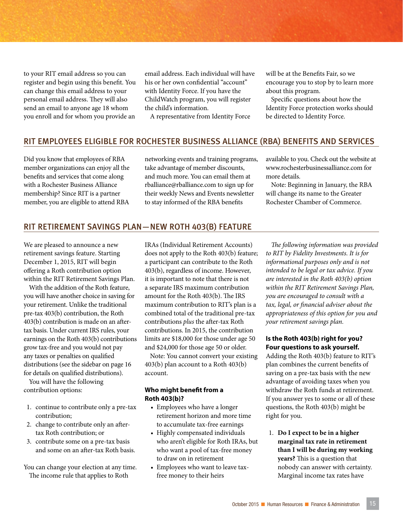to your RIT email address so you can register and begin using this benefit. You can change this email address to your personal email address. They will also send an email to anyone age 18 whom you enroll and for whom you provide an

email address. Each individual will have his or her own confidential "account" with Identity Force. If you have the ChildWatch program, you will register the child's information.

A representative from Identity Force

will be at the Benefits Fair, so we encourage you to stop by to learn more about this program.

Specific questions about how the Identity Force protection works should be directed to Identity Force.

#### RIT EMPLOYEES ELIGIBLE FOR ROCHESTER BUSINESS ALLIANCE (RBA) BENEFITS AND SERVICES

Did you know that employees of RBA member organizations can enjoy all the benefits and services that come along with a Rochester Business Alliance membership? Since RIT is a partner member, you are eligible to attend RBA

networking events and training programs, take advantage of member discounts, and much more. You can email them at rballiance@rballiance.com to sign up for their weekly News and Events newsletter to stay informed of the RBA benefits

available to you. Check out the website at www.rochesterbusinessalliance.com for more details.

Note: Beginning in January, the RBA will change its name to the Greater Rochester Chamber of Commerce.

#### RIT RETIREMENT SAVINGS PLAN—NEW ROTH 403(B) FEATURE

We are pleased to announce a new retirement savings feature. Starting December 1, 2015, RIT will begin offering a Roth contribution option within the RIT Retirement Savings Plan.

With the addition of the Roth feature, you will have another choice in saving for your retirement. Unlike the traditional pre-tax 403(b) contribution, the Roth 403(b) contribution is made on an aftertax basis. Under current IRS rules, your earnings on the Roth 403(b) contributions grow tax-free and you would not pay any taxes or penalties on qualified distributions (see the sidebar on page 16 for details on qualified distributions).

You will have the following contribution options:

- 1. continue to contribute only a pre-tax contribution;
- 2. change to contribute only an aftertax Roth contribution; or
- 3. contribute some on a pre-tax basis and some on an after-tax Roth basis.

You can change your election at any time. The income rule that applies to Roth

IRAs (Individual Retirement Accounts) does not apply to the Roth 403(b) feature; a participant can contribute to the Roth 403(b), regardless of income. However, it is important to note that there is not a separate IRS maximum contribution amount for the Roth 403(b). The IRS maximum contribution to RIT's plan is a combined total of the traditional pre-tax contributions *plus* the after-tax Roth contributions. In 2015, the contribution limits are \$18,000 for those under age 50 and \$24,000 for those age 50 or older.

Note: You cannot convert your existing 403(b) plan account to a Roth 403(b) account.

#### **Who might benefit from a Roth 403(b)?**

- Employees who have a longer retirement horizon and more time to accumulate tax-free earnings
- Highly compensated individuals who aren't eligible for Roth IRAs, but who want a pool of tax-free money to draw on in retirement
- Employees who want to leave taxfree money to their heirs

*The following information was provided to RIT by Fidelity Investments. It is for informational purposes only and is not intended to be legal or tax advice. If you are interested in the Roth 403(b) option within the RIT Retirement Savings Plan, you are encouraged to consult with a tax, legal, or financial adviser about the appropriateness of this option for you and your retirement savings plan.* 

#### **Is the Roth 403(b) right for you? Four questions to ask yourself.**

Adding the Roth 403(b) feature to RIT's plan combines the current benefits of saving on a pre-tax basis with the new advantage of avoiding taxes when you withdraw the Roth funds at retirement. If you answer yes to some or all of these questions, the Roth 403(b) might be right for you.

1. **Do I expect to be in a higher marginal tax rate in retirement than I will be during my working years?** This is a question that nobody can answer with certainty. Marginal income tax rates have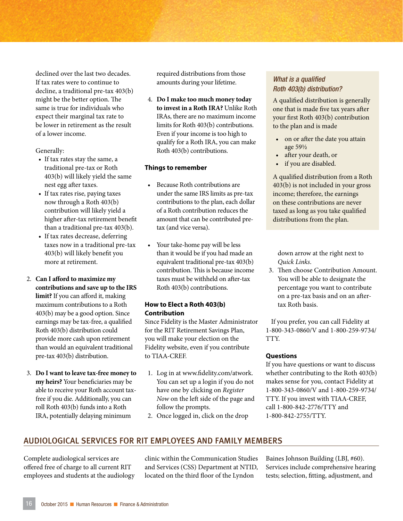declined over the last two decades. If tax rates were to continue to decline, a traditional pre-tax 403(b) might be the better option. The same is true for individuals who expect their marginal tax rate to be lower in retirement as the result of a lower income.

Generally:

- If tax rates stay the same, a traditional pre-tax or Roth 403(b) will likely yield the same nest egg after taxes.
- If tax rates rise, paying taxes now through a Roth 403(b) contribution will likely yield a higher after-tax retirement benefit than a traditional pre-tax 403(b).
- If tax rates decrease, deferring taxes now in a traditional pre-tax 403(b) will likely benefit you more at retirement.
- 2. **Can I afford to maximize my contributions and save up to the IRS limit?** If you can afford it, making maximum contributions to a Roth 403(b) may be a good option. Since earnings may be tax-free, a qualified Roth 403(b) distribution could provide more cash upon retirement than would an equivalent traditional pre-tax 403(b) distribution.
- 3. **Do I want to leave tax-free money to my heirs?** Your beneficiaries may be able to receive your Roth account taxfree if you die. Additionally, you can roll Roth 403(b) funds into a Roth IRA, potentially delaying minimum

required distributions from those amounts during your lifetime.

4. **Do I make too much money today to invest in a Roth IRA?** Unlike Roth IRAs, there are no maximum income limits for Roth 403(b) contributions. Even if your income is too high to qualify for a Roth IRA, you can make Roth 403(b) contributions.

#### **Things to remember**

- Because Roth contributions are under the same IRS limits as pre-tax contributions to the plan, each dollar of a Roth contribution reduces the amount that can be contributed pretax (and vice versa).
- Your take-home pay will be less than it would be if you had made an equivalent traditional pre-tax 403(b) contribution. This is because income taxes must be withheld on after-tax Roth 403(b) contributions.

#### **How to Elect a Roth 403(b) Contribution**

Since Fidelity is the Master Administrator for the RIT Retirement Savings Plan, you will make your election on the Fidelity website, even if you contribute to TIAA-CREF.

- 1. Log in at www.fidelity.com/atwork. You can set up a login if you do not have one by clicking on *Register Now* on the left side of the page and follow the prompts.
- 2. Once logged in, click on the drop

#### *What is a qualified Roth 403(b) distribution?*

A qualified distribution is generally one that is made five tax years after your first Roth 403(b) contribution to the plan and is made

- on or after the date you attain age 59½
- after your death, or
- if you are disabled.

A qualified distribution from a Roth 403(b) is not included in your gross income; therefore, the earnings on these contributions are never taxed as long as you take qualified distributions from the plan.

down arrow at the right next to *Quick Links*.

3. Then choose Contribution Amount. You will be able to designate the percentage you want to contribute on a pre-tax basis and on an aftertax Roth basis.

If you prefer, you can call Fidelity at 1-800-343-0860/V and 1-800-259-9734/ TTY.

#### **Questions**

If you have questions or want to discuss whether contributing to the Roth 403(b) makes sense for you, contact Fidelity at 1-800-343-0860/V and 1-800-259-9734/ TTY. If you invest with TIAA-CREF, call 1-800-842-2776/TTY and 1-800-842-2755/TTY.

#### AUDIOLOGICAL SERVICES FOR RIT EMPLOYEES AND FAMILY MEMBERS

Complete audiological services are offered free of charge to all current RIT employees and students at the audiology

clinic within the Communication Studies and Services (CSS) Department at NTID, located on the third floor of the Lyndon

Baines Johnson Building (LBJ, #60). Services include comprehensive hearing tests; selection, fitting, adjustment, and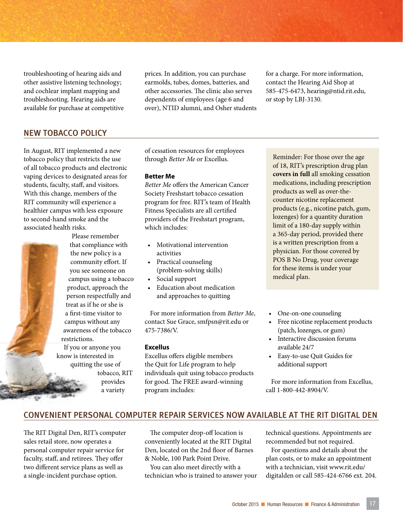troubleshooting of hearing aids and other assistive listening technology; and cochlear implant mapping and troubleshooting. Hearing aids are available for purchase at competitive

NEW TOBACCO POLICY

In August, RIT implemented a new tobacco policy that restricts the use of all tobacco products and electronic vaping devices to designated areas for students, faculty, staff, and visitors. With this change, members of the RIT community will experience a healthier campus with less exposure to second-hand smoke and the associated health risks.



Please remember that compliance with the new policy is a community effort. If you see someone on campus using a tobacco product, approach the person respectfully and treat as if he or she is a first-time visitor to campus without any awareness of the tobacco restrictions.

If you or anyone you know is interested in quitting the use of

> tobacco, RIT provides a variety

prices. In addition, you can purchase earmolds, tubes, domes, batteries, and other accessories. The clinic also serves dependents of employees (age 6 and over), NTID alumni, and Osher students for a charge. For more information, contact the Hearing Aid Shop at 585-475-6473, hearing@ntid.rit.edu, or stop by LBJ-3130.

of cessation resources for employees through *Better Me* or Excellus.

#### **Better Me**

*Better Me* offers the American Cancer Society Freshstart tobacco cessation program for free. RIT's team of Health Fitness Specialists are all certified providers of the Freshstart program, which includes:

- Motivational intervention activities
- Practical counseling (problem-solving skills)
- Social support
- Education about medication and approaches to quitting

For more information from *Better Me*, contact Sue Grace, smfpsn@rit.edu or 475-7386/V.

#### **Excellus**

Excellus offers eligible members the Quit for Life program to help individuals quit using tobacco products for good. The FREE award-winning program includes:

Reminder: For those over the age of 18, RIT's prescription drug plan **covers in full** all smoking cessation medications, including prescription products as well as over-thecounter nicotine replacement products (e.g., nicotine patch, gum, lozenges) for a quantity duration limit of a 180-day supply within a 365-day period, provided there is a written prescription from a physician. For those covered by POS B No Drug, your coverage for these items is under your medical plan.

- One-on-one counseling
- Free nicotine replacement products (patch, lozenges, or gum)
- Interactive discussion forums available 24/7
- Easy-to-use Quit Guides for additional support

For more information from Excellus, call 1-800-442-8904/V.

#### CONVENIENT PERSONAL COMPUTER REPAIR SERVICES NOW AVAILABLE AT THE RIT DIGITAL DEN

The RIT Digital Den, RIT's computer sales retail store, now operates a personal computer repair service for faculty, staff, and retirees. They offer two different service plans as well as a single-incident purchase option.

The computer drop-off location is conveniently located at the RIT Digital Den, located on the 2nd floor of Barnes & Noble, 100 Park Point Drive.

You can also meet directly with a technician who is trained to answer your technical questions. Appointments are recommended but not required.

For questions and details about the plan costs, or to make an appointment with a technician, visit www.rit.edu/ digitalden or call 585-424-6766 ext. 204.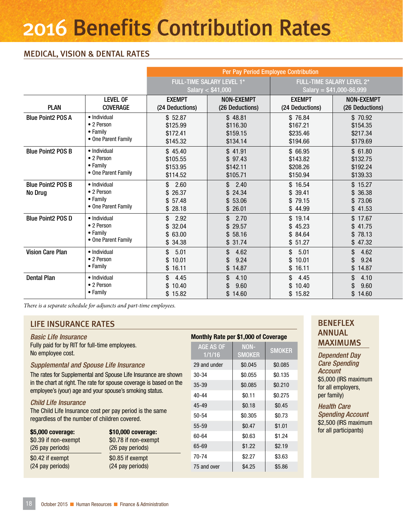### 2016 Benefits Contribution Rates

#### MEDICAL, VISION & DENTAL RATES

|                          |                     | Per Pay Period Employee Contribution |                   |                 |                           |  |
|--------------------------|---------------------|--------------------------------------|-------------------|-----------------|---------------------------|--|
|                          |                     | <b>FULL-TIME SALARY LEVEL 1*</b>     |                   |                 | FULL-TIME SALARY LEVEL 2* |  |
|                          |                     | Salary $<$ \$41,000                  |                   |                 | Salary = $$41,000-86,999$ |  |
|                          | <b>LEVEL OF</b>     | <b>EXEMPT</b>                        | <b>NON-EXEMPT</b> | <b>EXEMPT</b>   | <b>NON-EXEMPT</b>         |  |
| <b>PLAN</b>              | <b>COVERAGE</b>     | (24 Deductions)                      | (26 Deductions)   | (24 Deductions) | (26 Deductions)           |  |
| <b>Blue Point2 POS A</b> | · Individual        | \$52.87                              | \$48.81           | \$76.84         | \$70.92                   |  |
|                          | • 2 Person          | \$125.99                             | \$116.30          | \$167.21        | \$154.35                  |  |
|                          | • Family            | \$172.41                             | \$159.15          | \$235.46        | \$217.34                  |  |
|                          | • One Parent Family | \$145.32                             | \$134.14          | \$194.66        | \$179.69                  |  |
| <b>Blue Point2 POS B</b> | · Individual        | \$45.40                              | \$41.91           | \$ 66.95        | \$61.80                   |  |
|                          | • 2 Person          | \$105.55                             | \$97.43           | \$143.82        | \$132.75                  |  |
|                          | • Family            | \$153.95                             | \$142.11          | \$208.26        | \$192.24                  |  |
|                          | • One Parent Family | \$114.52                             | \$105.71          | \$150.94        | \$139.33                  |  |
| <b>Blue Point2 POS B</b> | · Individual        | \$2.60                               | \$2.40            | \$16.54         | \$15.27                   |  |
| No Drug                  | • 2 Person          | \$26.37                              | \$24.34           | \$39.41         | \$36.38                   |  |
|                          | • Family            | \$57.48                              | \$53.06           | \$79.15         | \$73.06                   |  |
|                          | • One Parent Family | \$28.18                              | \$26.01           | \$44.99         | \$41.53                   |  |
| Blue Point2 POS D        | · Individual        | $\mathbb{S}$<br>2.92                 | \$2.70            | \$19.14         | \$17.67                   |  |
|                          | • 2 Person          | \$32.04                              | \$29.57           | \$45.23         | \$41.75                   |  |
|                          | • Family            | \$63.00                              | \$58.16           | \$84.64         | \$78.13                   |  |
|                          | • One Parent Family | \$34.38                              | \$31.74           | \$51.27         | \$47.32                   |  |
| <b>Vision Care Plan</b>  | • Individual        | $\mathbb{S}$<br>5.01                 | \$4.62            | \$5.01          | \$4.62                    |  |
|                          | • 2 Person          | \$10.01                              | 9.24<br>\$        | \$10.01         | 9.24<br>\$                |  |
|                          | $\bullet$ Family    | \$16.11                              | \$14.87           | \$16.11         | \$14.87                   |  |
| <b>Dental Plan</b>       | · Individual        | \$4.45                               | \$4.10            | \$4.45          | 4.10<br>\$                |  |
|                          | • 2 Person          | \$10.40                              | 9.60<br>\$        | \$10.40         | 9.60<br>\$.               |  |
|                          | • Family            | \$15.82                              | \$14.60           | \$15.82         | \$14.60                   |  |

*There is a separate schedule for adjuncts and part-time employees.* 

#### LIFE INSURANCE RATES **BENEFLEX**

*Basic Life Insurance* Fully paid for by RIT for full-time employees. No employee cost.

#### *Supplemental and Spouse Life Insurance*

The rates for Supplemental and Spouse Life Insurance are shown in the chart at right. The rate for spouse coverage is based on the employee's (your) age and your spouse's smoking status.

#### *Child Life Insurance*

The Child Life Insurance cost per pay period is the same regardless of the number of children covered.

| \$5,000 coverage:    | \$10,000 coverage:   |
|----------------------|----------------------|
| \$0.39 if non-exempt | \$0.78 if non-exempt |
| (26 pay periods)     | (26 pay periods)     |
| \$0.42 if exempt     | \$0.85 if exempt     |
| (24 pay periods)     | (24 pay periods)     |

| Monthly Rate per \$1,000 of Coverage |                              |               |  |  |  |  |
|--------------------------------------|------------------------------|---------------|--|--|--|--|
| AGE AS OF<br>1/1/16                  | <b>NON-</b><br><b>SMOKER</b> | <b>SMOKER</b> |  |  |  |  |
| 29 and under                         | \$0.045                      | \$0.085       |  |  |  |  |
| 30-34                                | \$0.055                      | \$0.135       |  |  |  |  |
| $35 - 39$                            | \$0.085                      | \$0.210       |  |  |  |  |
| 40-44                                | \$0.11                       | \$0.275       |  |  |  |  |
| 45-49                                | \$0.18                       | \$0.45        |  |  |  |  |
| $50 - 54$                            | \$0.305                      | \$0.73        |  |  |  |  |
| 55-59                                | \$0.47                       | \$1.01        |  |  |  |  |
| 60-64                                | \$0.63                       | \$1.24        |  |  |  |  |
| 65-69                                | \$1.22                       | \$2.19        |  |  |  |  |
| 70-74                                | \$2.27                       | \$3.63        |  |  |  |  |
| 75 and over                          | \$4.25                       | \$5.86        |  |  |  |  |

### ANNUAL MAXIMUMS

*Dependent Day Care Spending Account* \$5,000 (IRS maximum for all employers, per family)

*Health Care Spending Account*  \$2,500 (IRS maximum for all participants)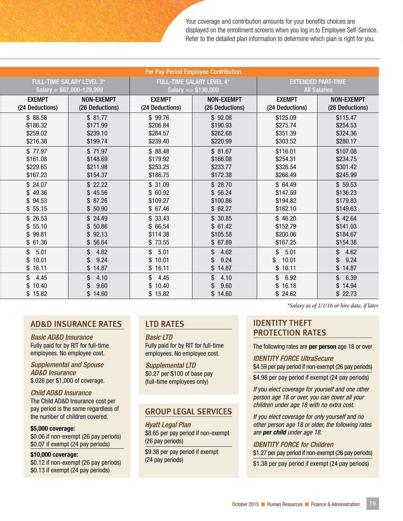Your coverage and contribution amounts for your benefits choices are displayed on the enrollment screens when you log in to Employee Self-Service. Refer to the detailed plan information to determine which plan is right for you.

| Per Pay Period Employee Contribution        |                                              |                                             |                                                         |                                              |                                                  |  |
|---------------------------------------------|----------------------------------------------|---------------------------------------------|---------------------------------------------------------|----------------------------------------------|--------------------------------------------------|--|
| <b>FULL-TIME SALARY LEVEL 3*</b>            | Salary = $$87,000-129,999$                   |                                             | <b>FULL-TIME SALARY LEVEL 4*</b><br>Salary = $$130,000$ |                                              | <b>EXTENDED PART-TIME</b><br><b>All Salaries</b> |  |
| <b>EXEMPT</b><br>(24 Deductions)            | <b>NON-EXEMPT</b><br>(26 Deductions)         | <b>EXEMPT</b><br>(24 Deductions)            | <b>NON-EXEMPT</b><br>(26 Deductions)                    | <b>EXEMPT</b><br>(24 Deductions)             | <b>NON-EXEMPT</b><br>(26 Deductions)             |  |
| \$88.58<br>\$186.32<br>\$259.02<br>\$216.38 | \$81.77<br>\$171.99<br>\$239.10<br>\$199.74  | \$99.76<br>\$206.84<br>\$284.57<br>\$239.40 | \$92.08<br>\$190.93<br>\$262.68<br>\$220.99             | \$125.09<br>\$275.74<br>\$351.39<br>\$303.52 | \$115.47<br>\$254.53<br>\$324.36<br>\$280.17     |  |
| \$77.97<br>\$161.08<br>\$229.65<br>\$167.23 | \$71.97<br>\$148.69<br>\$211.98<br>\$154.37  | \$88.48<br>\$179.92<br>\$253.25<br>\$186.75 | \$81.67<br>\$166.08<br>\$233.77<br>\$172.38             | \$116.01<br>\$254.31<br>\$326.54<br>\$266.49 | \$107.08<br>\$234.75<br>\$301.42<br>\$245.99     |  |
| \$24.07<br>\$49.36<br>\$94.53<br>\$55.15    | \$22.22<br>\$45.56<br>\$87.26<br>\$50.90     | \$31.09<br>\$60.92<br>\$109.27<br>\$67.46   | \$28.70<br>\$56.24<br>\$100.86<br>\$62.27               | \$64.49<br>\$147.59<br>\$194.82<br>\$162.10  | \$59.53<br>\$136.23<br>\$179.83<br>\$149.63      |  |
| \$26.53<br>\$55.10<br>\$99.81<br>\$61.36    | \$24.49<br>\$50.86<br>92.13<br>\$<br>\$56.64 | \$33.43<br>\$66.54<br>\$114.38<br>\$73.55   | \$30.85<br>\$61.42<br>\$105.58<br>\$67.89               | \$46.20<br>\$152.79<br>\$200.06<br>\$167.25  | \$42.64<br>\$141.03<br>\$184.67<br>\$154.38      |  |
| \$<br>5.01<br>\$10.01<br>\$16.11            | 4.62<br>\$.<br>9.24<br>\$<br>\$14.87         | \$5.01<br>\$10.01<br>\$16.11                | \$<br>4.62<br>9.24<br>\$14.87                           | \$<br>5.01<br>\$<br>10.01<br>\$16.11         | \$<br>4.62<br>9.24<br>\$<br>\$14.87              |  |
| \$<br>4.45<br>\$<br>10.40<br>\$15.82        | \$.<br>4.10<br>9.60<br>\$<br>\$14.60         | \$<br>4.45<br>\$10.40<br>\$15.82            | \$.<br>4.10<br>9.60<br>\$14.60                          | \$<br>6.92<br>\$16.18<br>\$24.62             | 6.39<br>\$<br>\$14.94<br>\$22.73                 |  |

#### AD&D INSURANCE RATES

*Basic AD&D Insurance* Fully paid for by RIT for full-time employees. No employee cost.

*Supplemental and Spouse AD&D Insurance* \$.026 per \$1,000 of coverage.

#### *Child AD&D Insurance*

The Child AD&D Insurance cost per pay period is the same regardless of the number of children covered.

\$5,000 coverage: \$0.06 if non-exempt (26 pay periods) \$0.07 if exempt (24 pay periods)

#### \$10,000 coverage:

\$0.12 if non-exempt (26 pay periods) \$0.13 if exempt (24 pay periods)

#### LTD RATES

*Basic LTD* Fully paid for by RIT for full-time employees. No employee cost.

*Supplemental LTD* \$0.27 per \$100 of base pay (full-time employees only)

#### GROUP LEGAL SERVICES

*Hyatt Legal Plan* \$8.65 per pay period if non-exempt (26 pay periods)

\$9.38 per pay period if exempt (24 pay periods)

*There is a separate schedule for adjuncts and part-time employees. \*Salary as of 1/1/16 or hire date, if later*

#### IDENTITY THEFT PROTECTION RATES

The following rates are **per person** age 18 or over

*IDENTITY FORCE UltraSecure*

\$4.59 per pay period if non-exempt (26 pay periods)

\$4.98 per pay period if exempt (24 pay periods)

*If you elect coverage for yourself and one other person age 18 or over, you can cover all your children under age 18 with no extra cost.*

*If you elect coverage for only yourself and no other person age 18 or older, the following rates are per child under age 18.*

*IDENTITY FORCE for Children* \$1.27 per pay period if non-exempt (26 pay periods)

\$1.38 per pay period if exempt (24 pay periods)